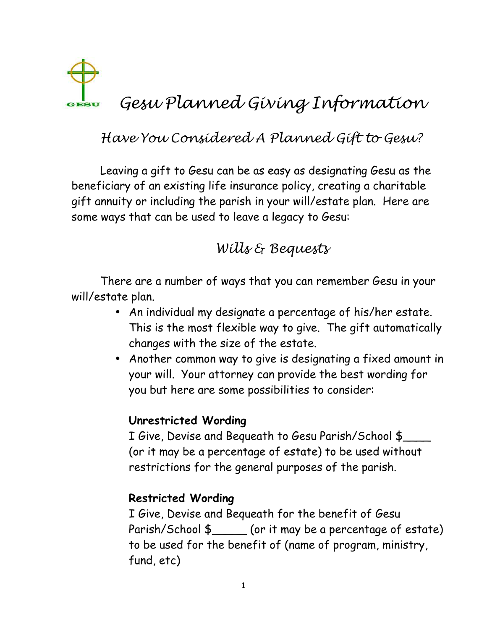

# Have You Considered A Planned Gift to Gesu?

Leaving a gift to Gesu can be as easy as designating Gesu as the beneficiary of an existing life insurance policy, creating a charitable gift annuity or including the parish in your will/estate plan. Here are some ways that can be used to leave a legacy to Gesu:

## Wills & Bequests

There are a number of ways that you can remember Gesu in your will/estate plan.

- An individual my designate a percentage of his/her estate. This is the most flexible way to give. The gift automatically changes with the size of the estate.
- Another common way to give is designating a fixed amount in your will. Your attorney can provide the best wording for you but here are some possibilities to consider:

#### **Unrestricted Wording**

I Give, Devise and Bequeath to Gesu Parish/School \$\_\_\_\_ (or it may be a percentage of estate) to be used without restrictions for the general purposes of the parish.

#### **Restricted Wording**

I Give, Devise and Bequeath for the benefit of Gesu Parish/School \$\_\_\_\_\_ (or it may be a percentage of estate) to be used for the benefit of (name of program, ministry, fund, etc)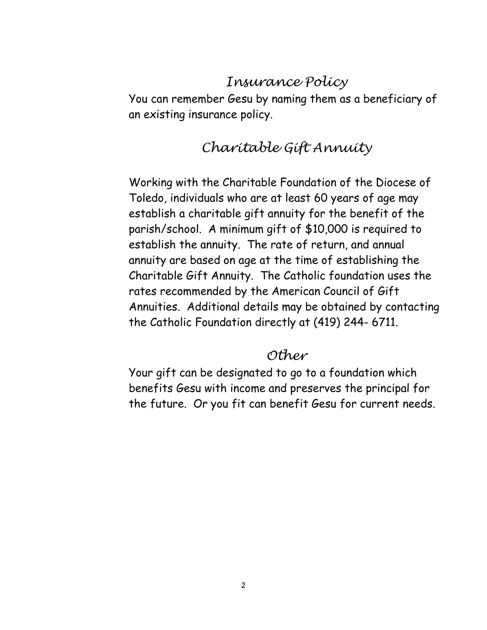### Insurance Policy

You can remember Gesu by naming them as a beneficiary of an existing insurance policy.

### Charitable Gift Annuity

Working with the Charitable Foundation of the Diocese of Toledo, individuals who are at least 60 years of age may establish a charitable gift annuity for the benefit of the parish/school. A minimum gift of \$10,000 is required to establish the annuity. The rate of return, and annual annuity are based on age at the time of establishing the Charitable Gift Annuity. The Catholic foundation uses the rates recommended by the American Council of Gift Annuities. Additional details may be obtained by contacting the Catholic Foundation directly at (419) 244- 6711.

#### Other

Your gift can be designated to go to a foundation which benefits Gesu with income and preserves the principal for the future. Or you fit can benefit Gesu for current needs.